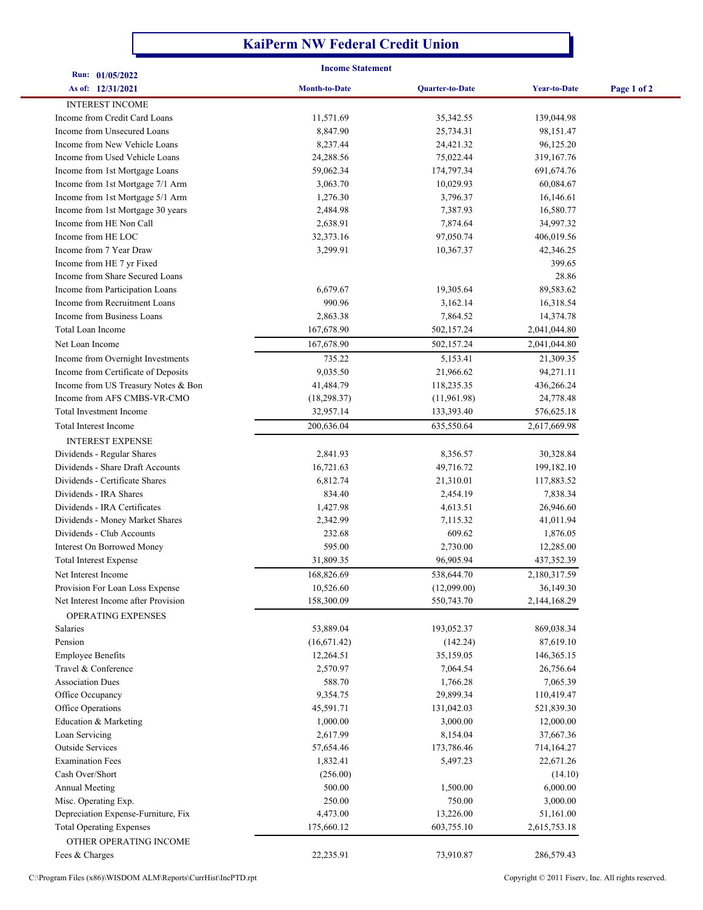## **KaiPerm NW Federal Credit Union**

| <b>Income Statement</b>                                            |                      |                        |                        |             |  |
|--------------------------------------------------------------------|----------------------|------------------------|------------------------|-------------|--|
| Run: 01/05/2022<br>As of: 12/31/2021                               | <b>Month-to-Date</b> | <b>Quarter-to-Date</b> | <b>Year-to-Date</b>    | Page 1 of 2 |  |
| <b>INTEREST INCOME</b>                                             |                      |                        |                        |             |  |
| Income from Credit Card Loans                                      | 11,571.69            | 35,342.55              | 139,044.98             |             |  |
| Income from Unsecured Loans                                        | 8,847.90             | 25,734.31              | 98,151.47              |             |  |
| Income from New Vehicle Loans                                      | 8,237.44             | 24,421.32              | 96,125.20              |             |  |
| Income from Used Vehicle Loans                                     | 24,288.56            | 75,022.44              | 319,167.76             |             |  |
| Income from 1st Mortgage Loans                                     | 59,062.34            | 174,797.34             | 691,674.76             |             |  |
| Income from 1st Mortgage 7/1 Arm                                   | 3,063.70             | 10,029.93              | 60,084.67              |             |  |
| Income from 1st Mortgage 5/1 Arm                                   | 1,276.30             | 3,796.37               | 16,146.61              |             |  |
| Income from 1st Mortgage 30 years                                  | 2,484.98             | 7,387.93               | 16,580.77              |             |  |
| Income from HE Non Call                                            | 2,638.91             | 7,874.64               | 34,997.32              |             |  |
| Income from HE LOC                                                 | 32, 373. 16          | 97,050.74              | 406,019.56             |             |  |
| Income from 7 Year Draw                                            | 3,299.91             | 10,367.37              | 42,346.25              |             |  |
| Income from HE 7 yr Fixed                                          |                      |                        | 399.65                 |             |  |
| Income from Share Secured Loans                                    |                      |                        | 28.86                  |             |  |
| Income from Participation Loans                                    | 6,679.67             | 19,305.64              | 89,583.62              |             |  |
| Income from Recruitment Loans                                      | 990.96               | 3,162.14               | 16,318.54              |             |  |
| Income from Business Loans                                         | 2,863.38             | 7,864.52               | 14,374.78              |             |  |
| Total Loan Income                                                  | 167,678.90           | 502,157.24             | 2,041,044.80           |             |  |
| Net Loan Income                                                    | 167,678.90           | 502,157.24             | 2,041,044.80           |             |  |
| Income from Overnight Investments                                  | 735.22               | 5,153.41               | 21,309.35              |             |  |
| Income from Certificate of Deposits                                | 9,035.50             | 21,966.62              | 94,271.11              |             |  |
| Income from US Treasury Notes & Bon                                | 41,484.79            | 118,235.35             | 436,266.24             |             |  |
| Income from AFS CMBS-VR-CMO                                        | (18, 298.37)         | (11,961.98)            | 24,778.48              |             |  |
| <b>Total Investment Income</b>                                     | 32,957.14            | 133,393.40             | 576,625.18             |             |  |
| Total Interest Income                                              | 200,636.04           | 635,550.64             | 2,617,669.98           |             |  |
| <b>INTEREST EXPENSE</b>                                            |                      |                        |                        |             |  |
| Dividends - Regular Shares                                         | 2,841.93             | 8,356.57               | 30,328.84              |             |  |
| Dividends - Share Draft Accounts<br>Dividends - Certificate Shares | 16,721.63            | 49,716.72              | 199,182.10             |             |  |
| Dividends - IRA Shares                                             | 6,812.74<br>834.40   | 21,310.01<br>2,454.19  | 117,883.52<br>7,838.34 |             |  |
| Dividends - IRA Certificates                                       | 1,427.98             | 4,613.51               | 26,946.60              |             |  |
| Dividends - Money Market Shares                                    | 2,342.99             | 7,115.32               | 41,011.94              |             |  |
| Dividends - Club Accounts                                          | 232.68               | 609.62                 | 1,876.05               |             |  |
| <b>Interest On Borrowed Money</b>                                  | 595.00               | 2,730.00               | 12,285.00              |             |  |
| <b>Total Interest Expense</b>                                      | 31,809.35            | 96,905.94              | 437,352.39             |             |  |
| Net Interest Income                                                | 168,826.69           | 538,644.70             | 2,180,317.59           |             |  |
| Provision For Loan Loss Expense                                    | 10,526.60            | (12,099.00)            | 36,149.30              |             |  |
| Net Interest Income after Provision                                | 158,300.09           | 550,743.70             | 2,144,168.29           |             |  |
| OPERATING EXPENSES                                                 |                      |                        |                        |             |  |
| Salaries                                                           | 53,889.04            | 193,052.37             | 869,038.34             |             |  |
| Pension                                                            | (16,671.42)          | (142.24)               | 87,619.10              |             |  |
| <b>Employee Benefits</b>                                           | 12,264.51            | 35,159.05              | 146, 365. 15           |             |  |
| Travel & Conference                                                | 2,570.97             | 7,064.54               | 26,756.64              |             |  |
| <b>Association Dues</b>                                            | 588.70               | 1,766.28               | 7,065.39               |             |  |
| Office Occupancy                                                   | 9,354.75             | 29,899.34              | 110,419.47             |             |  |
| Office Operations                                                  | 45,591.71            | 131,042.03             | 521,839.30             |             |  |
| Education & Marketing                                              | 1,000.00             | 3,000.00               | 12,000.00              |             |  |
| Loan Servicing                                                     | 2,617.99             | 8,154.04               | 37,667.36              |             |  |
| <b>Outside Services</b>                                            | 57,654.46            | 173,786.46             | 714,164.27             |             |  |
| <b>Examination Fees</b>                                            | 1,832.41             | 5,497.23               | 22,671.26              |             |  |
| Cash Over/Short                                                    | (256.00)             |                        | (14.10)                |             |  |
| <b>Annual Meeting</b>                                              | 500.00               | 1,500.00               | 6,000.00               |             |  |
| Misc. Operating Exp.                                               | 250.00               | 750.00                 | 3,000.00               |             |  |
| Depreciation Expense-Furniture, Fix                                | 4,473.00             | 13,226.00              | 51,161.00              |             |  |
| <b>Total Operating Expenses</b>                                    | 175,660.12           | 603,755.10             | 2,615,753.18           |             |  |
| OTHER OPERATING INCOME                                             |                      |                        |                        |             |  |
| Fees & Charges                                                     | 22,235.91            | 73,910.87              | 286,579.43             |             |  |